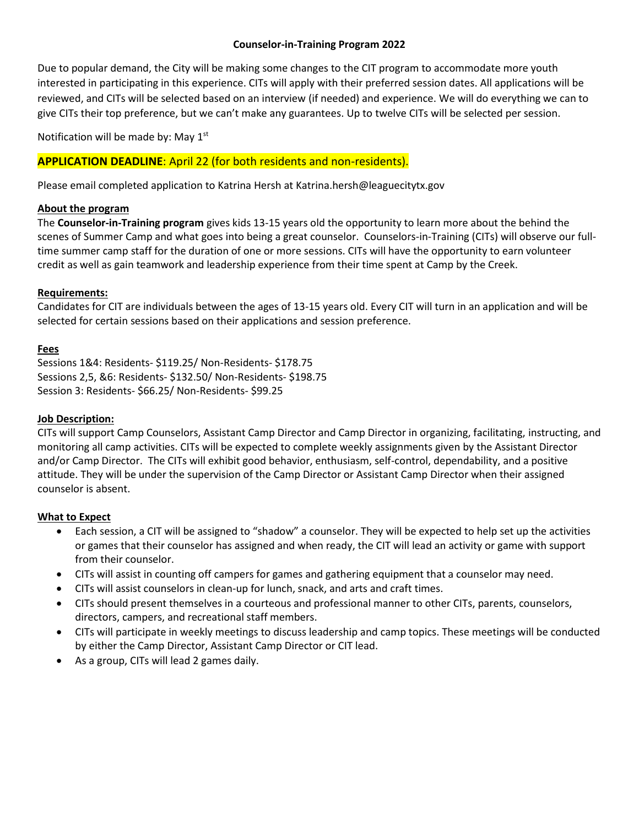## **Counselor-in-Training Program 2022**

Due to popular demand, the City will be making some changes to the CIT program to accommodate more youth interested in participating in this experience. CITs will apply with their preferred session dates. All applications will be reviewed, and CITs will be selected based on an interview (if needed) and experience. We will do everything we can to give CITs their top preference, but we can't make any guarantees. Up to twelve CITs will be selected per session.

Notification will be made by: May 1<sup>st</sup>

# **APPLICATION DEADLINE**: April 22 (for both residents and non-residents).

Please email completed application to Katrina Hersh at Katrina.hersh@leaguecitytx.gov

## **About the program**

The **Counselor-in-Training program** gives kids 13-15 years old the opportunity to learn more about the behind the scenes of Summer Camp and what goes into being a great counselor. Counselors-in-Training (CITs) will observe our fulltime summer camp staff for the duration of one or more sessions. CITs will have the opportunity to earn volunteer credit as well as gain teamwork and leadership experience from their time spent at Camp by the Creek.

# **Requirements:**

Candidates for CIT are individuals between the ages of 13-15 years old. Every CIT will turn in an application and will be selected for certain sessions based on their applications and session preference.

### **Fees**

Sessions 1&4: Residents- \$119.25/ Non-Residents- \$178.75 Sessions 2,5, &6: Residents- \$132.50/ Non-Residents- \$198.75 Session 3: Residents- \$66.25/ Non-Residents- \$99.25

## **Job Description:**

CITs will support Camp Counselors, Assistant Camp Director and Camp Director in organizing, facilitating, instructing, and monitoring all camp activities. CITs will be expected to complete weekly assignments given by the Assistant Director and/or Camp Director. The CITs will exhibit good behavior, enthusiasm, self-control, dependability, and a positive attitude. They will be under the supervision of the Camp Director or Assistant Camp Director when their assigned counselor is absent.

### **What to Expect**

- Each session, a CIT will be assigned to "shadow" a counselor. They will be expected to help set up the activities or games that their counselor has assigned and when ready, the CIT will lead an activity or game with support from their counselor.
- CITs will assist in counting off campers for games and gathering equipment that a counselor may need.
- CITs will assist counselors in clean-up for lunch, snack, and arts and craft times.
- CITs should present themselves in a courteous and professional manner to other CITs, parents, counselors, directors, campers, and recreational staff members.
- CITs will participate in weekly meetings to discuss leadership and camp topics. These meetings will be conducted by either the Camp Director, Assistant Camp Director or CIT lead.
- As a group, CITs will lead 2 games daily.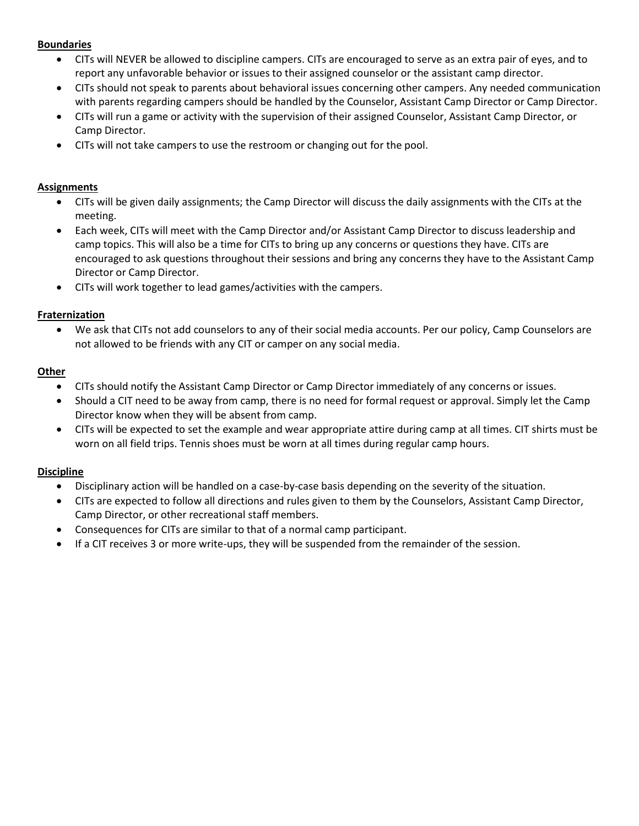# **Boundaries**

- CITs will NEVER be allowed to discipline campers. CITs are encouraged to serve as an extra pair of eyes, and to report any unfavorable behavior or issues to their assigned counselor or the assistant camp director.
- CITs should not speak to parents about behavioral issues concerning other campers. Any needed communication with parents regarding campers should be handled by the Counselor, Assistant Camp Director or Camp Director.
- CITs will run a game or activity with the supervision of their assigned Counselor, Assistant Camp Director, or Camp Director.
- CITs will not take campers to use the restroom or changing out for the pool.

## **Assignments**

- CITs will be given daily assignments; the Camp Director will discuss the daily assignments with the CITs at the meeting.
- Each week, CITs will meet with the Camp Director and/or Assistant Camp Director to discuss leadership and camp topics. This will also be a time for CITs to bring up any concerns or questions they have. CITs are encouraged to ask questions throughout their sessions and bring any concerns they have to the Assistant Camp Director or Camp Director.
- CITs will work together to lead games/activities with the campers.

# **Fraternization**

• We ask that CITs not add counselors to any of their social media accounts. Per our policy, Camp Counselors are not allowed to be friends with any CIT or camper on any social media.

# **Other**

- CITs should notify the Assistant Camp Director or Camp Director immediately of any concerns or issues.
- Should a CIT need to be away from camp, there is no need for formal request or approval. Simply let the Camp Director know when they will be absent from camp.
- CITs will be expected to set the example and wear appropriate attire during camp at all times. CIT shirts must be worn on all field trips. Tennis shoes must be worn at all times during regular camp hours.

# **Discipline**

- Disciplinary action will be handled on a case-by-case basis depending on the severity of the situation.
- CITs are expected to follow all directions and rules given to them by the Counselors, Assistant Camp Director, Camp Director, or other recreational staff members.
- Consequences for CITs are similar to that of a normal camp participant.
- If a CIT receives 3 or more write-ups, they will be suspended from the remainder of the session.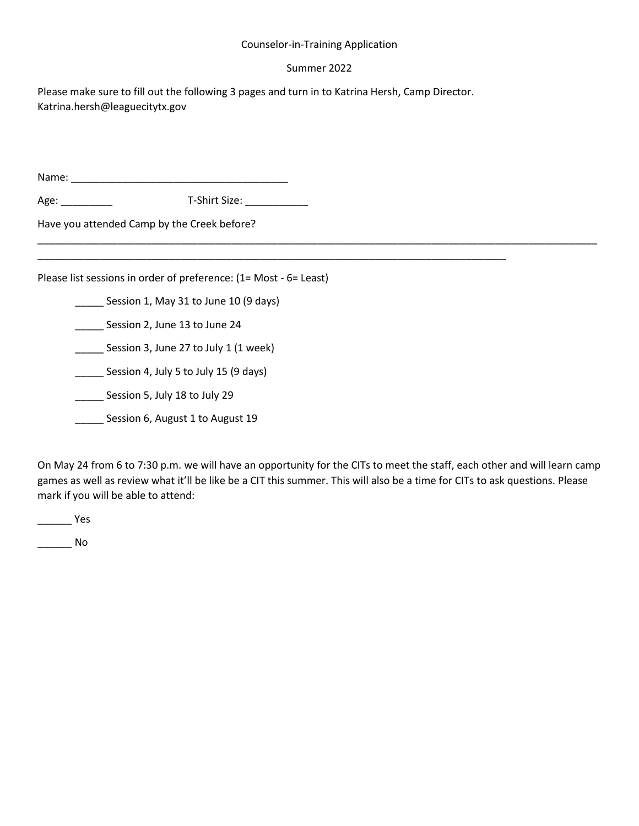### Counselor-in-Training Application

#### Summer 2022

\_\_\_\_\_\_\_\_\_\_\_\_\_\_\_\_\_\_\_\_\_\_\_\_\_\_\_\_\_\_\_\_\_\_\_\_\_\_\_\_\_\_\_\_\_\_\_\_\_\_\_\_\_\_\_\_\_\_\_\_\_\_\_\_\_\_\_\_\_\_\_\_\_\_\_\_\_\_\_\_\_\_\_\_\_\_\_\_\_\_\_\_\_\_\_\_\_\_

Please make sure to fill out the following 3 pages and turn in to Katrina Hersh, Camp Director. Katrina.hersh@leaguecitytx.gov

\_\_\_\_\_\_\_\_\_\_\_\_\_\_\_\_\_\_\_\_\_\_\_\_\_\_\_\_\_\_\_\_\_\_\_\_\_\_\_\_\_\_\_\_\_\_\_\_\_\_\_\_\_\_\_\_\_\_\_\_\_\_\_\_\_\_\_\_\_\_\_\_\_\_\_\_\_\_\_\_\_\_

Name: \_\_\_\_\_\_\_\_\_\_\_\_\_\_\_\_\_\_\_\_\_\_\_\_\_\_\_\_\_\_\_\_\_\_\_\_\_\_

Age: \_\_\_\_\_\_\_\_\_ T-Shirt Size: \_\_\_\_\_\_\_\_\_\_\_

Have you attended Camp by the Creek before?

Please list sessions in order of preference: (1= Most - 6= Least)

Session 1, May 31 to June 10 (9 days)

\_\_\_\_\_\_ Session 2, June 13 to June 24

**\_\_\_\_\_** Session 3, June 27 to July 1 (1 week)

Session 4, July 5 to July 15 (9 days)

\_\_\_\_\_ Session 5, July 18 to July 29

**\_\_\_\_\_** Session 6, August 1 to August 19

On May 24 from 6 to 7:30 p.m. we will have an opportunity for the CITs to meet the staff, each other and will learn camp games as well as review what it'll be like be a CIT this summer. This will also be a time for CITs to ask questions. Please mark if you will be able to attend:

 $\frac{1}{2}$  Yes

 $\overline{\phantom{a}}$  No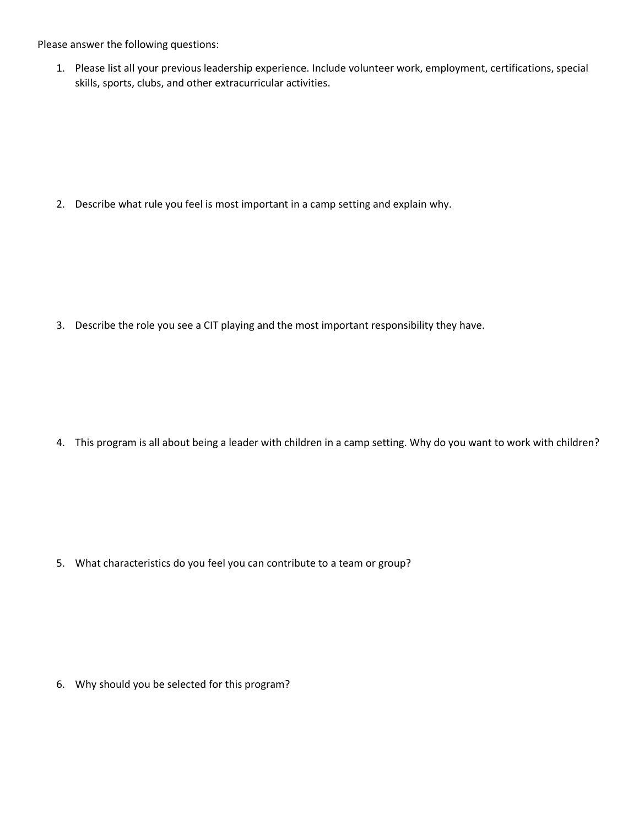Please answer the following questions:

1. Please list all your previous leadership experience. Include volunteer work, employment, certifications, special skills, sports, clubs, and other extracurricular activities.

2. Describe what rule you feel is most important in a camp setting and explain why.

3. Describe the role you see a CIT playing and the most important responsibility they have.

4. This program is all about being a leader with children in a camp setting. Why do you want to work with children?

5. What characteristics do you feel you can contribute to a team or group?

6. Why should you be selected for this program?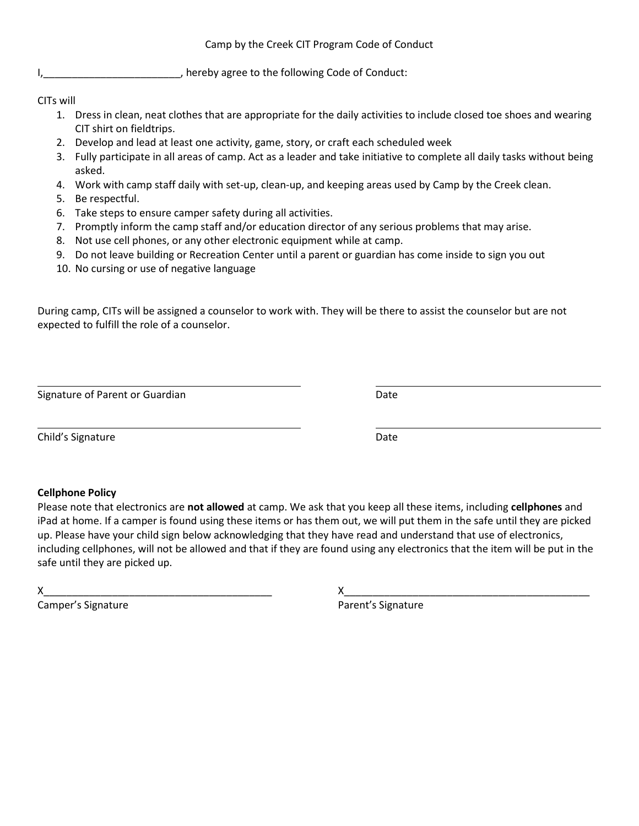I, I, and I amust the settlem of the following Code of Conduct:

CITs will

- 1. Dress in clean, neat clothes that are appropriate for the daily activities to include closed toe shoes and wearing CIT shirt on fieldtrips.
- 2. Develop and lead at least one activity, game, story, or craft each scheduled week
- 3. Fully participate in all areas of camp. Act as a leader and take initiative to complete all daily tasks without being asked.
- 4. Work with camp staff daily with set-up, clean-up, and keeping areas used by Camp by the Creek clean.
- 5. Be respectful.
- 6. Take steps to ensure camper safety during all activities.
- 7. Promptly inform the camp staff and/or education director of any serious problems that may arise.
- 8. Not use cell phones, or any other electronic equipment while at camp.
- 9. Do not leave building or Recreation Center until a parent or guardian has come inside to sign you out
- 10. No cursing or use of negative language

During camp, CITs will be assigned a counselor to work with. They will be there to assist the counselor but are not expected to fulfill the role of a counselor.

Signature of Parent or Guardian Date Date

Child's Signature Date

# **Cellphone Policy**

Please note that electronics are **not allowed** at camp. We ask that you keep all these items, including **cellphones** and iPad at home. If a camper is found using these items or has them out, we will put them in the safe until they are picked up. Please have your child sign below acknowledging that they have read and understand that use of electronics, including cellphones, will not be allowed and that if they are found using any electronics that the item will be put in the safe until they are picked up.

Camper's Signature **Campains** Camper's Signature

X\_\_\_\_\_\_\_\_\_\_\_\_\_\_\_\_\_\_\_\_\_\_\_\_\_\_\_\_\_\_\_\_\_\_\_\_\_\_\_\_ X\_\_\_\_\_\_\_\_\_\_\_\_\_\_\_\_\_\_\_\_\_\_\_\_\_\_\_\_\_\_\_\_\_\_\_\_\_\_\_\_\_\_\_